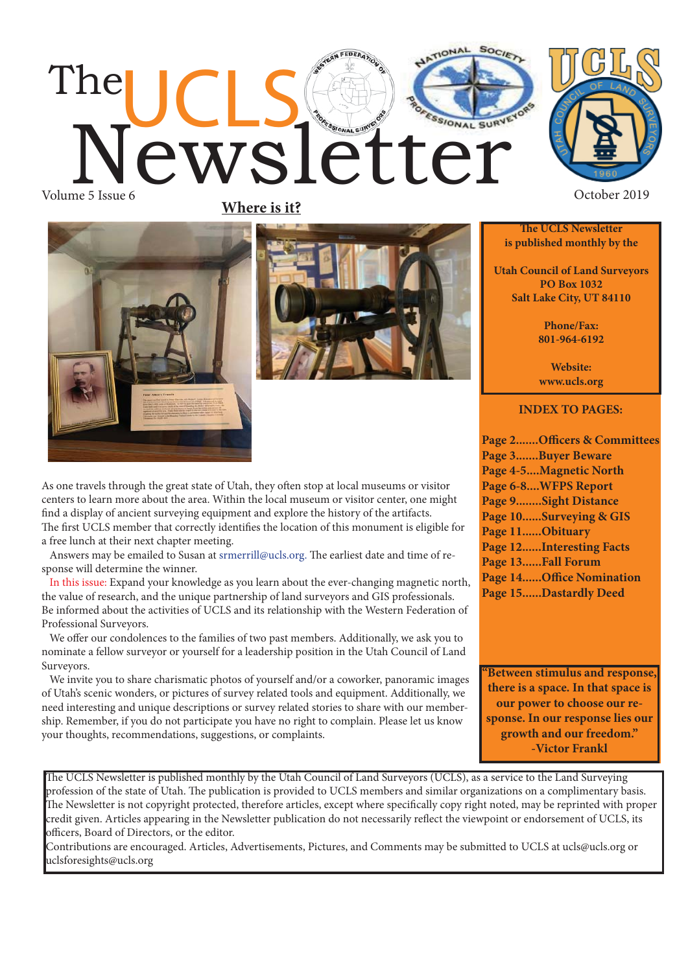# lewsletter The Volume 5 Issue 6 October 2019

**Where is it?**





As one travels through the great state of Utah, they often stop at local museums or visitor centers to learn more about the area. Within the local museum or visitor center, one might find a display of ancient surveying equipment and explore the history of the artifacts. The first UCLS member that correctly identifies the location of this monument is eligible for a free lunch at their next chapter meeting.

Answers may be emailed to Susan at srmerrill@ucls.org. The earliest date and time of response will determine the winner.

 In this issue: Expand your knowledge as you learn about the ever-changing magnetic north, the value of research, and the unique partnership of land surveyors and GIS professionals. Be informed about the activities of UCLS and its relationship with the Western Federation of Professional Surveyors.

We offer our condolences to the families of two past members. Additionally, we ask you to nominate a fellow surveyor or yourself for a leadership position in the Utah Council of Land Surveyors.

 We invite you to share charismatic photos of yourself and/or a coworker, panoramic images of Utah's scenic wonders, or pictures of survey related tools and equipment. Additionally, we need interesting and unique descriptions or survey related stories to share with our membership. Remember, if you do not participate you have no right to complain. Please let us know your thoughts, recommendations, suggestions, or complaints.



**The UCLS Newsletter is published monthly by the**

**Utah Council of Land Surveyors PO Box 1032 Salt Lake City, UT 84110**

> **Phone/Fax: 801-964-6192**

**Website: www.ucls.org**

#### **INDEX TO PAGES:**

**Page 2.......Officers & Committees Page 3.......Buyer Beware Page 4-5....Magnetic North Page 6-8....WFPS Report Page 9........Sight Distance Page 10......Surveying & GIS Page 11......Obituary Page 12......Interesting Facts Page 13......Fall Forum Page 14......Office Nomination Page 15......Dastardly Deed**

**"Between stimulus and response, there is a space. In that space is our power to choose our response. In our response lies our growth and our freedom." -Victor Frankl**

The UCLS Newsletter is published monthly by the Utah Council of Land Surveyors (UCLS), as a service to the Land Surveying profession of the state of Utah. The publication is provided to UCLS members and similar organizations on a complimentary basis. The Newsletter is not copyright protected, therefore articles, except where specifically copy right noted, may be reprinted with proper credit given. Articles appearing in the Newsletter publication do not necessarily reflect the viewpoint or endorsement of UCLS, its officers, Board of Directors, or the editor.

Contributions are encouraged. Articles, Advertisements, Pictures, and Comments may be submitted to UCLS at ucls@ucls.org or uclsforesights@ucls.org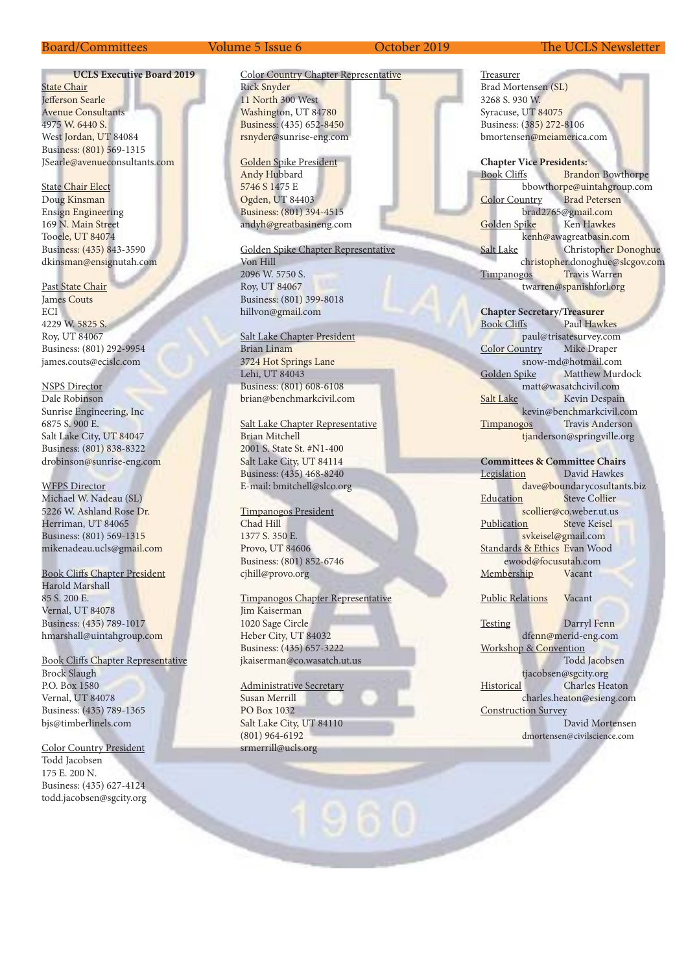#### **UCLS Executive Board 2019**

State Chair Jefferson Searle Avenue Consultants 4975 W. 6440 S. West Jordan, UT 84084 Business: (801) 569-1315 JSearle@avenueconsultants.com

State Chair Elect Doug Kinsman Ensign Engineering 169 N. Main Street Tooele, UT 84074 Business: (435) 843-3590 dkinsman@ensignutah.com

#### Past State Chair James Couts **ECI** 4229 W. 5825 S. Roy, UT 84067 Business: (801) 292-9954 james.couts@ecislc.com

NSPS Director Dale Robinson Sunrise Engineering, Inc 6875 S. 900 E. Salt Lake City, UT 84047 Business: (801) 838-8322 drobinson@sunrise-eng.com

#### WFPS Director

Michael W. Nadeau (SL) 5226 W. Ashland Rose Dr. Herriman, UT 84065 Business: (801) 569-1315 mikenadeau.ucls@gmail.com

Book Cliffs Chapter President Harold Marshall 85 S. 200 E. Vernal, UT 84078 Business: (435) 789-1017 hmarshall@uintahgroup.com

#### Book Cliffs Chapter Representative Brock Slaugh P.O. Box 1580 Vernal, UT 84078 Business: (435) 789-1365

Color Country President Todd Jacobsen 175 E. 200 N. Business: (435) 627-4124 todd.jacobsen@sgcity.org

bjs@timberlinels.com

#### Board/Committees Volume 5 Issue 6 Corober 2019 The UCLS Newsletter

Color Country Chapter Representative Rick Snyder 11 North 300 West Washington, UT 84780 Business: (435) 652-8450 rsnyder@sunrise-eng.com

Golden Spike President Andy Hubbard 5746 S 1475 E Ogden, UT 84403 Business: (801) 394-4515 andyh@greatbasineng.com

Golden Spike Chapter Representative Von Hill 2096 W. 5750 S. Roy, UT 84067 Business: (801) 399-8018 hillvon@gmail.com

#### Salt Lake Chapter President

Brian Linam 3724 Hot Springs Lane Lehi, UT 84043 Business: (801) 608-6108 brian@benchmarkcivil.com

Salt Lake Chapter Representative Brian Mitchell 2001 S. State St. #N1-400 Salt Lake City, UT 84114 Business: (435) 468-8240 E-mail: bmitchell@slco.org

#### Timpanogos President

Chad Hill 1377 S. 350 E. Provo, UT 84606 Business: (801) 852-6746 cjhill@provo.org

#### Timpanogos Chapter Representative

Jim Kaiserman 1020 Sage Circle Heber City, UT 84032 Business: (435) 657-3222 jkaiserman@co.wasatch.ut.us

#### Administrative Secretary

Susan Merrill PO Box 1032 Salt Lake City, UT 84110 (801) 964-6192 srmerrill@ucls.org

Treasurer Brad Mortensen (SL) 3268 S. 930 W. Syracuse, UT 84075 Business: (385) 272-8106 bmortensen@meiamerica.com

**Chapter Vice Presidents:** Book Cliffs Brandon Bowthorpe bbowthorpe@uintahgroup.com<br>Color Country Brad Petersen Brad Petersen brad2765@gmail.com Golden Spike Ken Hawkes kenh@awagreatbasin.com Salt Lake Christopher Donoghue christopher.donoghue@slcgov.com Timpanogos Travis Warren twarren@spanishforl.org

## **Chapter Secretary/Treasurer**

Paul Hawkes paul@trisatesurvey.com Color Country Mike Draper snow-md@hotmail.com Golden Spike Matthew Murdock matt@wasatchcivil.com<br>Salt Lake Kevin Despair Kevin Despain kevin@benchmarkcivil.com Timpanogos Travis Anderson tjanderson@springville.org

#### **Committees & Committee Chairs**

Legislation David Hawkes dave@boundarycosultants.biz Education Steve Collier scollier@co.weber.ut.us<br>n Steve Keisel Publication svkeisel@gmail.com Standards & Ethics Evan Wood ewood@focusutah.com Membership Vacant

#### Public Relations Vacant

Testing Darryl Fenn dfenn@merid-eng.com Workshop & Convention Todd Jacobsen tjacobsen@sgcity.org Historical Charles Heaton charles.heaton@esieng.com Construction Survey David Mortensen dmortensen@civilscience.com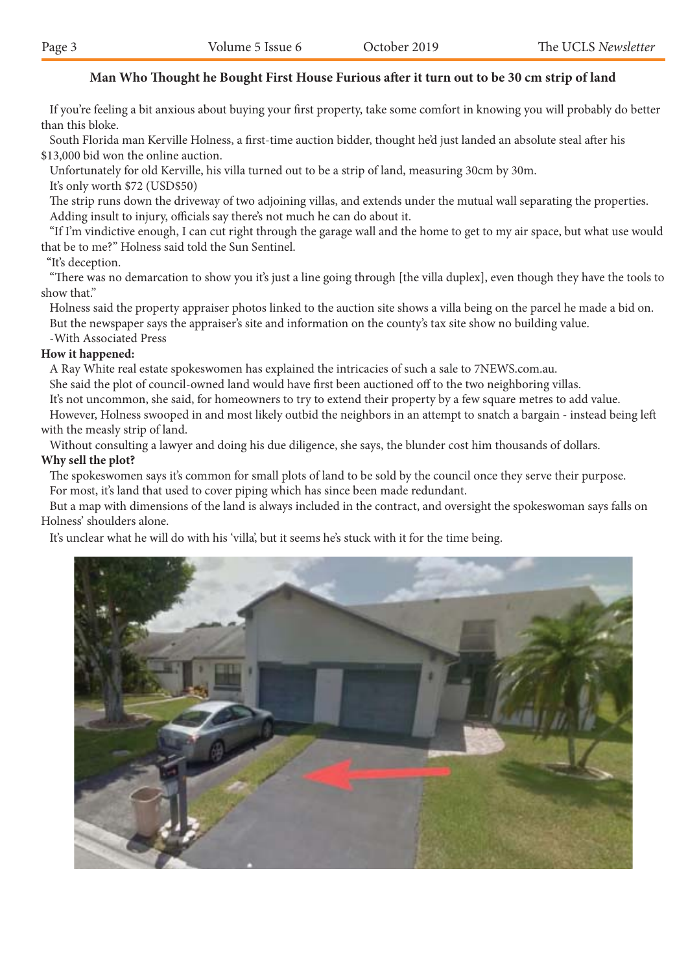### Man Who Thought he Bought First House Furious after it turn out to be 30 cm strip of land

If you're feeling a bit anxious about buying your first property, take some comfort in knowing you will probably do better than this bloke.

South Florida man Kerville Holness, a first-time auction bidder, thought he'd just landed an absolute steal after his \$13,000 bid won the online auction.

Unfortunately for old Kerville, his villa turned out to be a strip of land, measuring 30cm by 30m.

It's only worth \$72 (USD\$50)

The strip runs down the driveway of two adjoining villas, and extends under the mutual wall separating the properties. Adding insult to injury, officials say there's not much he can do about it.

 "If I'm vindictive enough, I can cut right through the garage wall and the home to get to my air space, but what use would that be to me?" Holness said told the Sun Sentinel.

"It's deception.

"There was no demarcation to show you it's just a line going through [the villa duplex], even though they have the tools to show that."

 Holness said the property appraiser photos linked to the auction site shows a villa being on the parcel he made a bid on. But the newspaper says the appraiser's site and information on the county's tax site show no building value.

-With Associated Press

#### **How it happened:**

A Ray White real estate spokeswomen has explained the intricacies of such a sale to 7NEWS.com.au.

She said the plot of council-owned land would have first been auctioned off to the two neighboring villas.

It's not uncommon, she said, for homeowners to try to extend their property by a few square metres to add value.

 However, Holness swooped in and most likely outbid the neighbors in an attempt to snatch a bargain - instead being left with the measly strip of land.

Without consulting a lawyer and doing his due diligence, she says, the blunder cost him thousands of dollars.

#### **Why sell the plot?**

The spokeswomen says it's common for small plots of land to be sold by the council once they serve their purpose. For most, it's land that used to cover piping which has since been made redundant.

 But a map with dimensions of the land is always included in the contract, and oversight the spokeswoman says falls on Holness' shoulders alone.

It's unclear what he will do with his 'villa', but it seems he's stuck with it for the time being.

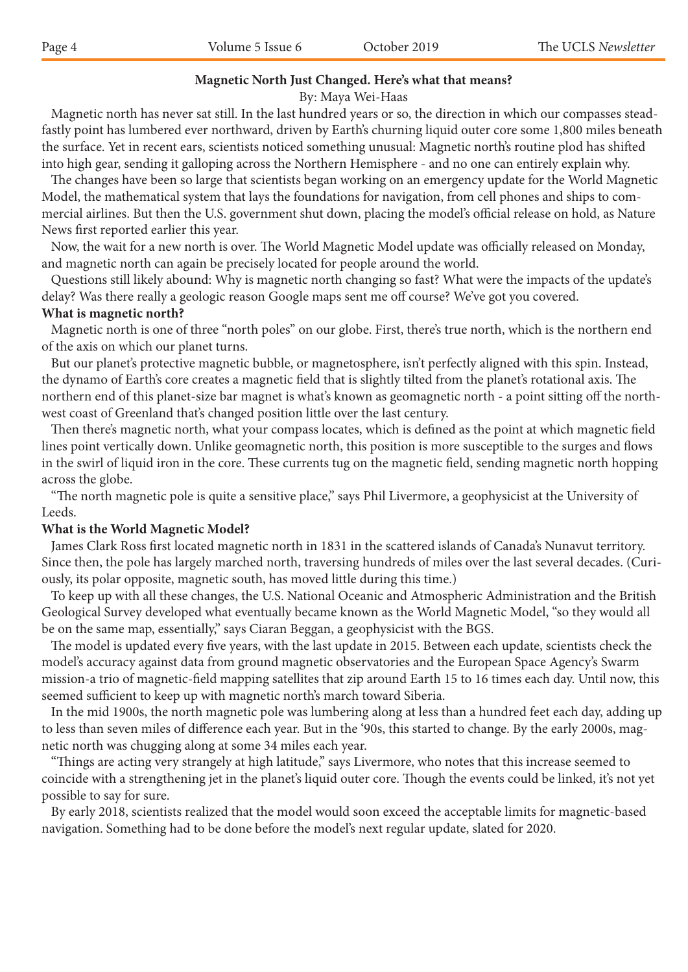### **Magnetic North Just Changed. Here's what that means?**

#### By: Maya Wei-Haas

 Magnetic north has never sat still. In the last hundred years or so, the direction in which our compasses steadfastly point has lumbered ever northward, driven by Earth's churning liquid outer core some 1,800 miles beneath the surface. Yet in recent ears, scientists noticed something unusual: Magnetic north's routine plod has shifted into high gear, sending it galloping across the Northern Hemisphere - and no one can entirely explain why.

The changes have been so large that scientists began working on an emergency update for the World Magnetic Model, the mathematical system that lays the foundations for navigation, from cell phones and ships to commercial airlines. But then the U.S. government shut down, placing the model's official release on hold, as Nature News first reported earlier this year.

Now, the wait for a new north is over. The World Magnetic Model update was officially released on Monday, and magnetic north can again be precisely located for people around the world.

 Questions still likely abound: Why is magnetic north changing so fast? What were the impacts of the update's delay? Was there really a geologic reason Google maps sent me off course? We've got you covered.

#### **What is magnetic north?**

 Magnetic north is one of three "north poles" on our globe. First, there's true north, which is the northern end of the axis on which our planet turns.

 But our planet's protective magnetic bubble, or magnetosphere, isn't perfectly aligned with this spin. Instead, the dynamo of Earth's core creates a magnetic field that is slightly tilted from the planet's rotational axis. The northern end of this planet-size bar magnet is what's known as geomagnetic north - a point sitting off the northwest coast of Greenland that's changed position little over the last century.

Then there's magnetic north, what your compass locates, which is defined as the point at which magnetic field lines point vertically down. Unlike geomagnetic north, this position is more susceptible to the surges and flows in the swirl of liquid iron in the core. These currents tug on the magnetic field, sending magnetic north hopping across the globe.

"The north magnetic pole is quite a sensitive place," says Phil Livermore, a geophysicist at the University of Leeds.

#### **What is the World Magnetic Model?**

James Clark Ross first located magnetic north in 1831 in the scattered islands of Canada's Nunavut territory. Since then, the pole has largely marched north, traversing hundreds of miles over the last several decades. (Curiously, its polar opposite, magnetic south, has moved little during this time.)

 To keep up with all these changes, the U.S. National Oceanic and Atmospheric Administration and the British Geological Survey developed what eventually became known as the World Magnetic Model, "so they would all be on the same map, essentially," says Ciaran Beggan, a geophysicist with the BGS.

The model is updated every five years, with the last update in 2015. Between each update, scientists check the model's accuracy against data from ground magnetic observatories and the European Space Agency's Swarm mission-a trio of magnetic-field mapping satellites that zip around Earth 15 to 16 times each day. Until now, this seemed sufficient to keep up with magnetic north's march toward Siberia.

 In the mid 1900s, the north magnetic pole was lumbering along at less than a hundred feet each day, adding up to less than seven miles of difference each year. But in the '90s, this started to change. By the early 2000s, magnetic north was chugging along at some 34 miles each year.

"Things are acting very strangely at high latitude," says Livermore, who notes that this increase seemed to coincide with a strengthening jet in the planet's liquid outer core. Though the events could be linked, it's not yet possible to say for sure.

 By early 2018, scientists realized that the model would soon exceed the acceptable limits for magnetic-based navigation. Something had to be done before the model's next regular update, slated for 2020.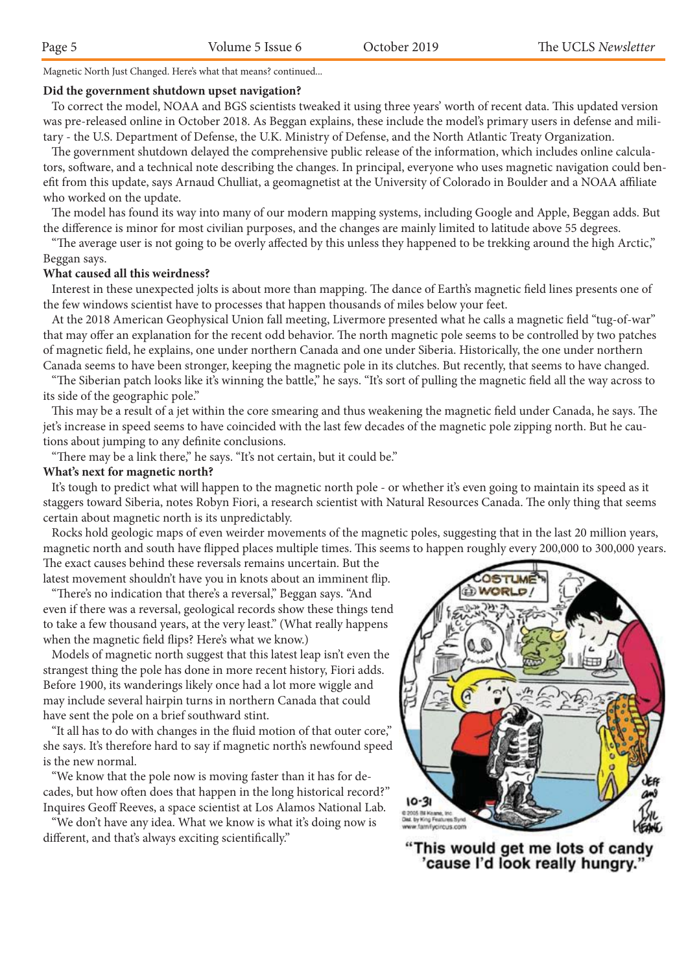Magnetic North Just Changed. Here's what that means? continued...

#### **Did the government shutdown upset navigation?**

To correct the model, NOAA and BGS scientists tweaked it using three years' worth of recent data. This updated version was pre-released online in October 2018. As Beggan explains, these include the model's primary users in defense and military - the U.S. Department of Defense, the U.K. Ministry of Defense, and the North Atlantic Treaty Organization.

The government shutdown delayed the comprehensive public release of the information, which includes online calculators, software, and a technical note describing the changes. In principal, everyone who uses magnetic navigation could benefit from this update, says Arnaud Chulliat, a geomagnetist at the University of Colorado in Boulder and a NOAA affiliate who worked on the update.

The model has found its way into many of our modern mapping systems, including Google and Apple, Beggan adds. But the difference is minor for most civilian purposes, and the changes are mainly limited to latitude above 55 degrees.

"The average user is not going to be overly affected by this unless they happened to be trekking around the high Arctic," Beggan says.

#### **What caused all this weirdness?**

Interest in these unexpected jolts is about more than mapping. The dance of Earth's magnetic field lines presents one of the few windows scientist have to processes that happen thousands of miles below your feet.

At the 2018 American Geophysical Union fall meeting, Livermore presented what he calls a magnetic field "tug-of-war" that may offer an explanation for the recent odd behavior. The north magnetic pole seems to be controlled by two patches of magnetic field, he explains, one under northern Canada and one under Siberia. Historically, the one under northern Canada seems to have been stronger, keeping the magnetic pole in its clutches. But recently, that seems to have changed.

"The Siberian patch looks like it's winning the battle," he says. "It's sort of pulling the magnetic field all the way across to its side of the geographic pole."

This may be a result of a jet within the core smearing and thus weakening the magnetic field under Canada, he says. The jet's increase in speed seems to have coincided with the last few decades of the magnetic pole zipping north. But he cautions about jumping to any definite conclusions.

"There may be a link there," he says. "It's not certain, but it could be."

#### **What's next for magnetic north?**

 It's tough to predict what will happen to the magnetic north pole - or whether it's even going to maintain its speed as it staggers toward Siberia, notes Robyn Fiori, a research scientist with Natural Resources Canada. The only thing that seems certain about magnetic north is its unpredictably.

 Rocks hold geologic maps of even weirder movements of the magnetic poles, suggesting that in the last 20 million years, magnetic north and south have flipped places multiple times. This seems to happen roughly every 200,000 to 300,000 years.

The exact causes behind these reversals remains uncertain. But the latest movement shouldn't have you in knots about an imminent flip.

"There's no indication that there's a reversal," Beggan says. "And even if there was a reversal, geological records show these things tend to take a few thousand years, at the very least." (What really happens when the magnetic field flips? Here's what we know.)

 Models of magnetic north suggest that this latest leap isn't even the strangest thing the pole has done in more recent history, Fiori adds. Before 1900, its wanderings likely once had a lot more wiggle and may include several hairpin turns in northern Canada that could have sent the pole on a brief southward stint.

"It all has to do with changes in the fluid motion of that outer core," she says. It's therefore hard to say if magnetic north's newfound speed is the new normal.

 "We know that the pole now is moving faster than it has for decades, but how often does that happen in the long historical record?" Inquires Geoff Reeves, a space scientist at Los Alamos National Lab.

 "We don't have any idea. What we know is what it's doing now is different, and that's always exciting scientifically."



"This would get me lots of candy 'cause I'd look really hungry.'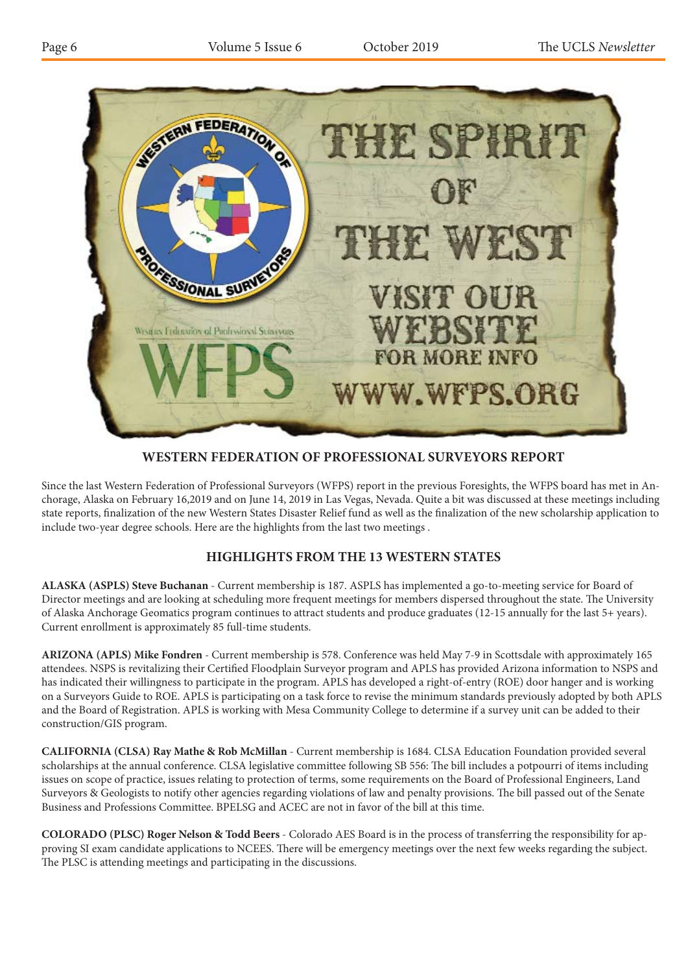

**WESTERN FEDERATION OF PROFESSIONAL SURVEYORS REPORT**

Since the last Western Federation of Professional Surveyors (WFPS) report in the previous Foresights, the WFPS board has met in Anchorage, Alaska on February 16,2019 and on June 14, 2019 in Las Vegas, Nevada. Quite a bit was discussed at these meetings including state reports, finalization of the new Western States Disaster Relief fund as well as the finalization of the new scholarship application to include two-year degree schools. Here are the highlights from the last two meetings .

### **HIGHLIGHTS FROM THE 13 WESTERN STATES**

**ALASKA (ASPLS) Steve Buchanan** - Current membership is 187. ASPLS has implemented a go-to-meeting service for Board of Director meetings and are looking at scheduling more frequent meetings for members dispersed throughout the state. The University of Alaska Anchorage Geomatics program continues to attract students and produce graduates (12-15 annually for the last 5+ years). Current enrollment is approximately 85 full-time students.

**ARIZONA (APLS) Mike Fondren** - Current membership is 578. Conference was held May 7-9 in Scottsdale with approximately 165 attendees. NSPS is revitalizing their Certified Floodplain Surveyor program and APLS has provided Arizona information to NSPS and has indicated their willingness to participate in the program. APLS has developed a right-of-entry (ROE) door hanger and is working on a Surveyors Guide to ROE. APLS is participating on a task force to revise the minimum standards previously adopted by both APLS and the Board of Registration. APLS is working with Mesa Community College to determine if a survey unit can be added to their construction/GIS program.

**CALIFORNIA (CLSA) Ray Mathe & Rob McMillan** - Current membership is 1684. CLSA Education Foundation provided several scholarships at the annual conference. CLSA legislative committee following SB 556: The bill includes a potpourri of items including issues on scope of practice, issues relating to protection of terms, some requirements on the Board of Professional Engineers, Land Surveyors & Geologists to notify other agencies regarding violations of law and penalty provisions. The bill passed out of the Senate Business and Professions Committee. BPELSG and ACEC are not in favor of the bill at this time.

**COLORADO (PLSC) Roger Nelson & Todd Beers** - Colorado AES Board is in the process of transferring the responsibility for approving SI exam candidate applications to NCEES. There will be emergency meetings over the next few weeks regarding the subject. The PLSC is attending meetings and participating in the discussions.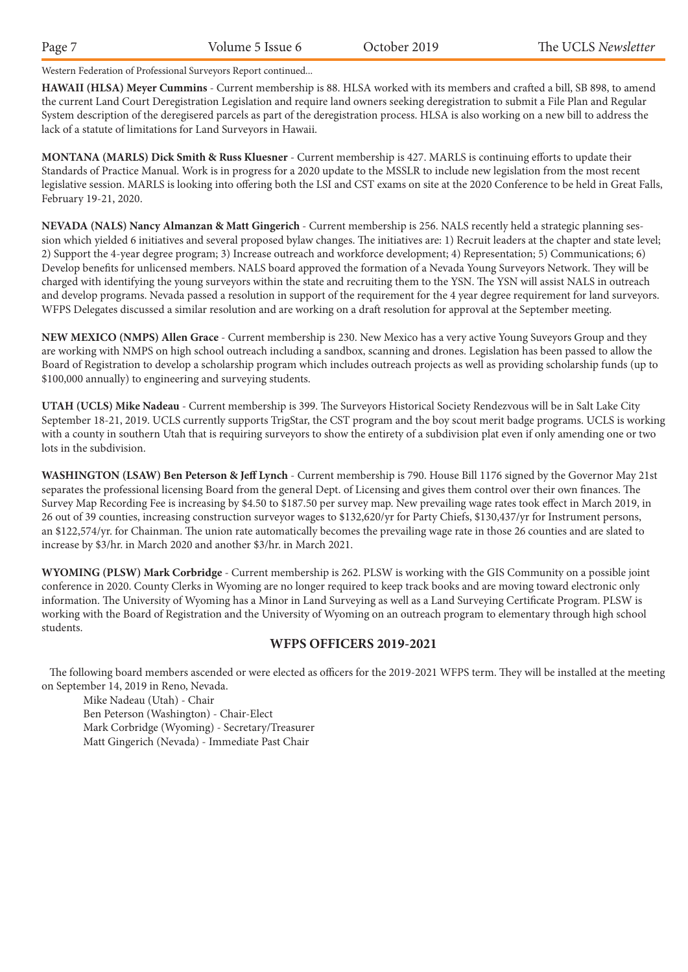|--|--|

Western Federation of Professional Surveyors Report continued...

HAWAII (HLSA) Meyer Cummins - Current membership is 88. HLSA worked with its members and crafted a bill, SB 898, to amend the current Land Court Deregistration Legislation and require land owners seeking deregistration to submit a File Plan and Regular System description of the deregisered parcels as part of the deregistration process. HLSA is also working on a new bill to address the lack of a statute of limitations for Land Surveyors in Hawaii.

**MONTANA (MARLS) Dick Smith & Russ Kluesner** - Current membership is 427. MARLS is continuing efforts to update their Standards of Practice Manual. Work is in progress for a 2020 update to the MSSLR to include new legislation from the most recent legislative session. MARLS is looking into offering both the LSI and CST exams on site at the 2020 Conference to be held in Great Falls, February 19-21, 2020.

**NEVADA (NALS) Nancy Almanzan & Matt Gingerich** - Current membership is 256. NALS recently held a strategic planning session which yielded 6 initiatives and several proposed bylaw changes. The initiatives are: 1) Recruit leaders at the chapter and state level; 2) Support the 4-year degree program; 3) Increase outreach and workforce development; 4) Representation; 5) Communications; 6) Develop benefits for unlicensed members. NALS board approved the formation of a Nevada Young Surveyors Network. They will be charged with identifying the young surveyors within the state and recruiting them to the YSN. The YSN will assist NALS in outreach and develop programs. Nevada passed a resolution in support of the requirement for the 4 year degree requirement for land surveyors. WFPS Delegates discussed a similar resolution and are working on a draft resolution for approval at the September meeting.

**NEW MEXICO (NMPS) Allen Grace** - Current membership is 230. New Mexico has a very active Young Suveyors Group and they are working with NMPS on high school outreach including a sandbox, scanning and drones. Legislation has been passed to allow the Board of Registration to develop a scholarship program which includes outreach projects as well as providing scholarship funds (up to \$100,000 annually) to engineering and surveying students.

**UTAH (UCLS) Mike Nadeau** - Current membership is 399. The Surveyors Historical Society Rendezvous will be in Salt Lake City September 18-21, 2019. UCLS currently supports TrigStar, the CST program and the boy scout merit badge programs. UCLS is working with a county in southern Utah that is requiring surveyors to show the entirety of a subdivision plat even if only amending one or two lots in the subdivision.

**WASHINGTON (LSAW) Ben Peterson & Jeff Lynch** - Current membership is 790. House Bill 1176 signed by the Governor May 21st separates the professional licensing Board from the general Dept. of Licensing and gives them control over their own finances. The Survey Map Recording Fee is increasing by \$4.50 to \$187.50 per survey map. New prevailing wage rates took effect in March 2019, in 26 out of 39 counties, increasing construction surveyor wages to \$132,620/yr for Party Chiefs, \$130,437/yr for Instrument persons, an \$122,574/yr. for Chainman. The union rate automatically becomes the prevailing wage rate in those 26 counties and are slated to increase by \$3/hr. in March 2020 and another \$3/hr. in March 2021.

**WYOMING (PLSW) Mark Corbridge** - Current membership is 262. PLSW is working with the GIS Community on a possible joint conference in 2020. County Clerks in Wyoming are no longer required to keep track books and are moving toward electronic only information. The University of Wyoming has a Minor in Land Surveying as well as a Land Surveying Certificate Program. PLSW is working with the Board of Registration and the University of Wyoming on an outreach program to elementary through high school students.

#### **WFPS OFFICERS 2019-2021**

The following board members ascended or were elected as officers for the 2019-2021 WFPS term. They will be installed at the meeting on September 14, 2019 in Reno, Nevada.

 Mike Nadeau (Utah) - Chair Ben Peterson (Washington) - Chair-Elect Mark Corbridge (Wyoming) - Secretary/Treasurer Matt Gingerich (Nevada) - Immediate Past Chair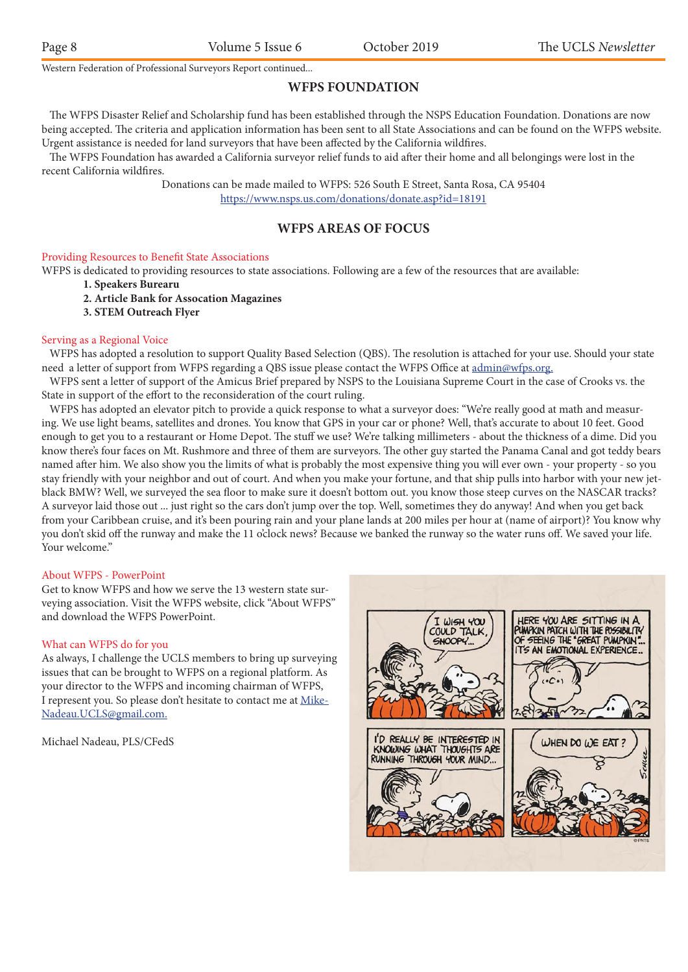Western Federation of Professional Surveyors Report continued...

#### **WFPS FOUNDATION**

The WFPS Disaster Relief and Scholarship fund has been established through the NSPS Education Foundation. Donations are now being accepted. The criteria and application information has been sent to all State Associations and can be found on the WFPS website. Urgent assistance is needed for land surveyors that have been affected by the California wildfires.

The WFPS Foundation has awarded a California surveyor relief funds to aid after their home and all belongings were lost in the recent California wildfires.

> Donations can be made mailed to WFPS: 526 South E Street, Santa Rosa, CA 95404 https://www.nsps.us.com/donations/donate.asp?id=18191

#### **WFPS AREAS OF FOCUS**

#### Providing Resources to Benefit State Associations

WFPS is dedicated to providing resources to state associations. Following are a few of the resources that are available:

- **1. Speakers Burearu**
- **2. Article Bank for Assocation Magazines**
- **3. STEM Outreach Flyer**

#### Serving as a Regional Voice

WFPS has adopted a resolution to support Quality Based Selection (QBS). The resolution is attached for your use. Should your state need a letter of support from WFPS regarding a QBS issue please contact the WFPS Office at admin@wfps.org.

 WFPS sent a letter of support of the Amicus Brief prepared by NSPS to the Louisiana Supreme Court in the case of Crooks vs. the State in support of the effort to the reconsideration of the court ruling.

 WFPS has adopted an elevator pitch to provide a quick response to what a surveyor does: "We're really good at math and measuring. We use light beams, satellites and drones. You know that GPS in your car or phone? Well, that's accurate to about 10 feet. Good enough to get you to a restaurant or Home Depot. The stuff we use? We're talking millimeters - about the thickness of a dime. Did you know there's four faces on Mt. Rushmore and three of them are surveyors. The other guy started the Panama Canal and got teddy bears named after him. We also show you the limits of what is probably the most expensive thing you will ever own - your property - so you stay friendly with your neighbor and out of court. And when you make your fortune, and that ship pulls into harbor with your new jetblack BMW? Well, we surveyed the sea floor to make sure it doesn't bottom out. you know those steep curves on the NASCAR tracks? A surveyor laid those out ... just right so the cars don't jump over the top. Well, sometimes they do anyway! And when you get back from your Caribbean cruise, and it's been pouring rain and your plane lands at 200 miles per hour at (name of airport)? You know why you don't skid off the runway and make the 11 o'clock news? Because we banked the runway so the water runs off. We saved your life. Your welcome."

#### About WFPS - PowerPoint

Get to know WFPS and how we serve the 13 western state surveying association. Visit the WFPS website, click "About WFPS" and download the WFPS PowerPoint.

#### What can WFPS do for you

As always, I challenge the UCLS members to bring up surveying issues that can be brought to WFPS on a regional platform. As your director to the WFPS and incoming chairman of WFPS, I represent you. So please don't hesitate to contact me at Mike-Nadeau.UCLS@gmail.com.

Michael Nadeau, PLS/CFedS

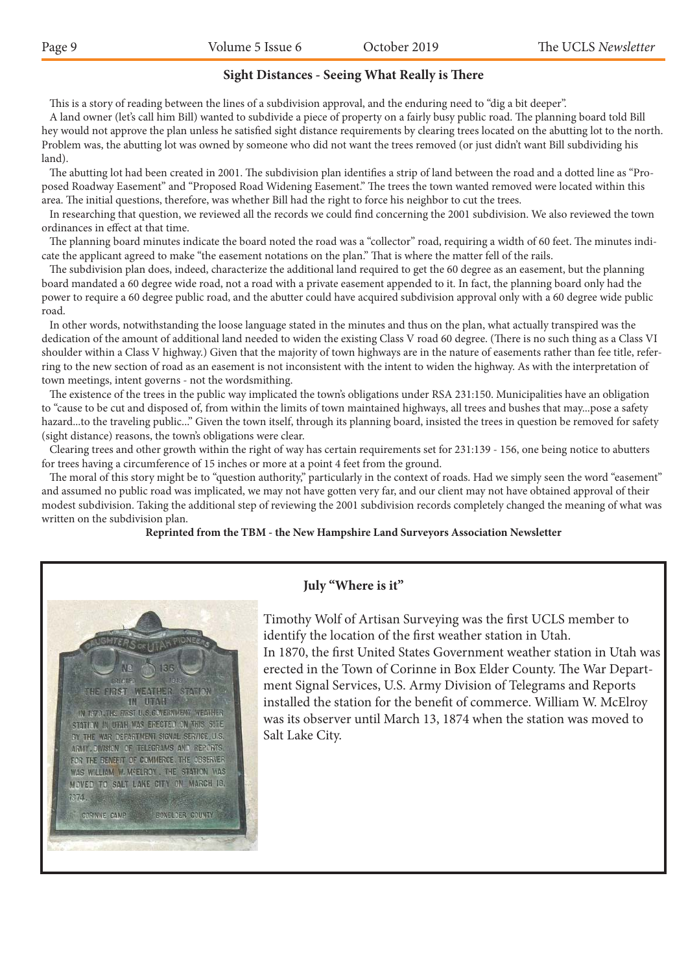#### **Sight Distances - Seeing What Really is There**

This is a story of reading between the lines of a subdivision approval, and the enduring need to "dig a bit deeper".

A land owner (let's call him Bill) wanted to subdivide a piece of property on a fairly busy public road. The planning board told Bill hey would not approve the plan unless he satisfied sight distance requirements by clearing trees located on the abutting lot to the north. Problem was, the abutting lot was owned by someone who did not want the trees removed (or just didn't want Bill subdividing his land).

The abutting lot had been created in 2001. The subdivision plan identifies a strip of land between the road and a dotted line as "Proposed Roadway Easement" and "Proposed Road Widening Easement." The trees the town wanted removed were located within this area. The initial questions, therefore, was whether Bill had the right to force his neighbor to cut the trees.

In researching that question, we reviewed all the records we could find concerning the 2001 subdivision. We also reviewed the town ordinances in effect at that time.

The planning board minutes indicate the board noted the road was a "collector" road, requiring a width of 60 feet. The minutes indicate the applicant agreed to make "the easement notations on the plan." That is where the matter fell of the rails.

The subdivision plan does, indeed, characterize the additional land required to get the 60 degree as an easement, but the planning board mandated a 60 degree wide road, not a road with a private easement appended to it. In fact, the planning board only had the power to require a 60 degree public road, and the abutter could have acquired subdivision approval only with a 60 degree wide public road.

 In other words, notwithstanding the loose language stated in the minutes and thus on the plan, what actually transpired was the dedication of the amount of additional land needed to widen the existing Class V road 60 degree. (There is no such thing as a Class VI shoulder within a Class V highway.) Given that the majority of town highways are in the nature of easements rather than fee title, referring to the new section of road as an easement is not inconsistent with the intent to widen the highway. As with the interpretation of town meetings, intent governs - not the wordsmithing.

The existence of the trees in the public way implicated the town's obligations under RSA 231:150. Municipalities have an obligation to "cause to be cut and disposed of, from within the limits of town maintained highways, all trees and bushes that may...pose a safety hazard...to the traveling public..." Given the town itself, through its planning board, insisted the trees in question be removed for safety (sight distance) reasons, the town's obligations were clear.

 Clearing trees and other growth within the right of way has certain requirements set for 231:139 - 156, one being notice to abutters for trees having a circumference of 15 inches or more at a point 4 feet from the ground.

The moral of this story might be to "question authority," particularly in the context of roads. Had we simply seen the word "easement" and assumed no public road was implicated, we may not have gotten very far, and our client may not have obtained approval of their modest subdivision. Taking the additional step of reviewing the 2001 subdivision records completely changed the meaning of what was written on the subdivision plan.

#### **Reprinted from the TBM - the New Hampshire Land Surveyors Association Newsletter**

**July "Where is it"** 



## Timothy Wolf of Artisan Surveying was the first UCLS member to

identify the location of the first weather station in Utah. In 1870, the first United States Government weather station in Utah was erected in the Town of Corinne in Box Elder County. The War Department Signal Services, U.S. Army Division of Telegrams and Reports installed the station for the benefit of commerce. William W. McElroy was its observer until March 13, 1874 when the station was moved to Salt Lake City.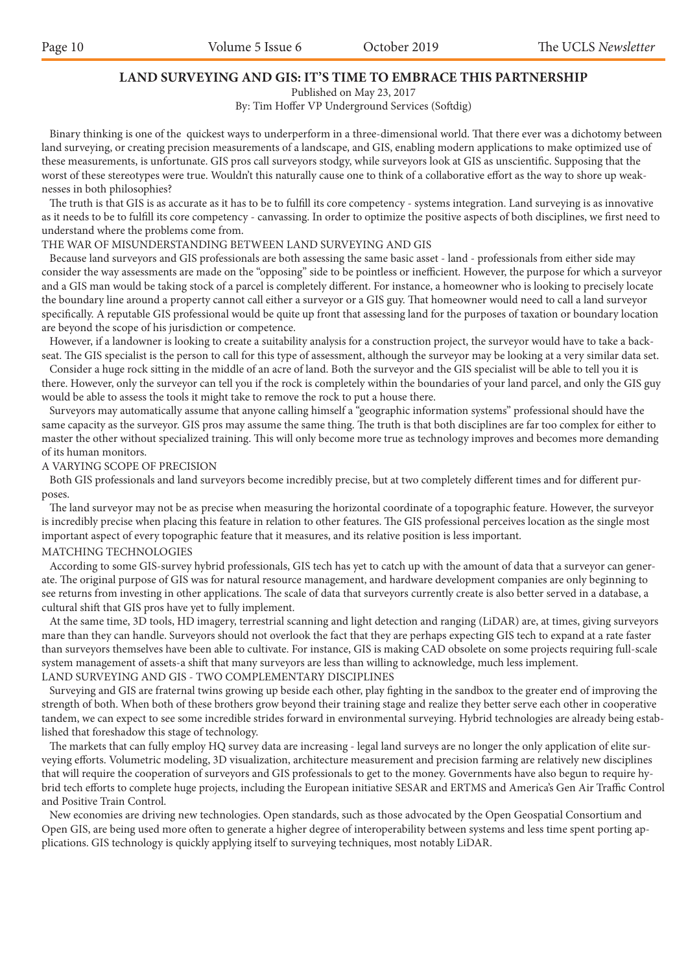#### **LAND SURVEYING AND GIS: IT'S TIME TO EMBRACE THIS PARTNERSHIP**

Published on May 23, 2017

By: Tim Hoffer VP Underground Services (Softdig)

Binary thinking is one of the quickest ways to underperform in a three-dimensional world. That there ever was a dichotomy between land surveying, or creating precision measurements of a landscape, and GIS, enabling modern applications to make optimized use of these measurements, is unfortunate. GIS pros call surveyors stodgy, while surveyors look at GIS as unscientific. Supposing that the worst of these stereotypes were true. Wouldn't this naturally cause one to think of a collaborative effort as the way to shore up weaknesses in both philosophies?

The truth is that GIS is as accurate as it has to be to fulfill its core competency - systems integration. Land surveying is as innovative as it needs to be to fulfill its core competency - canvassing. In order to optimize the positive aspects of both disciplines, we first need to understand where the problems come from.

#### THE WAR OF MISUNDERSTANDING BETWEEN LAND SURVEYING AND GIS

 Because land surveyors and GIS professionals are both assessing the same basic asset - land - professionals from either side may consider the way assessments are made on the "opposing" side to be pointless or inefficient. However, the purpose for which a surveyor and a GIS man would be taking stock of a parcel is completely different. For instance, a homeowner who is looking to precisely locate the boundary line around a property cannot call either a surveyor or a GIS guy. That homeowner would need to call a land surveyor specifically. A reputable GIS professional would be quite up front that assessing land for the purposes of taxation or boundary location are beyond the scope of his jurisdiction or competence.

 However, if a landowner is looking to create a suitability analysis for a construction project, the surveyor would have to take a backseat. The GIS specialist is the person to call for this type of assessment, although the surveyor may be looking at a very similar data set.

 Consider a huge rock sitting in the middle of an acre of land. Both the surveyor and the GIS specialist will be able to tell you it is there. However, only the surveyor can tell you if the rock is completely within the boundaries of your land parcel, and only the GIS guy would be able to assess the tools it might take to remove the rock to put a house there.

 Surveyors may automatically assume that anyone calling himself a "geographic information systems" professional should have the same capacity as the surveyor. GIS pros may assume the same thing. The truth is that both disciplines are far too complex for either to master the other without specialized training. This will only become more true as technology improves and becomes more demanding of its human monitors.

#### A VARYING SCOPE OF PRECISION

Both GIS professionals and land surveyors become incredibly precise, but at two completely different times and for different purposes.

The land surveyor may not be as precise when measuring the horizontal coordinate of a topographic feature. However, the surveyor is incredibly precise when placing this feature in relation to other features. The GIS professional perceives location as the single most important aspect of every topographic feature that it measures, and its relative position is less important.

#### MATCHING TECHNOLOGIES

 According to some GIS-survey hybrid professionals, GIS tech has yet to catch up with the amount of data that a surveyor can generate. The original purpose of GIS was for natural resource management, and hardware development companies are only beginning to see returns from investing in other applications. The scale of data that surveyors currently create is also better served in a database, a cultural shift that GIS pros have yet to fully implement.

 At the same time, 3D tools, HD imagery, terrestrial scanning and light detection and ranging (LiDAR) are, at times, giving surveyors mare than they can handle. Surveyors should not overlook the fact that they are perhaps expecting GIS tech to expand at a rate faster than surveyors themselves have been able to cultivate. For instance, GIS is making CAD obsolete on some projects requiring full-scale system management of assets-a shift that many surveyors are less than willing to acknowledge, much less implement. LAND SURVEYING AND GIS - TWO COMPLEMENTARY DISCIPLINES

Surveying and GIS are fraternal twins growing up beside each other, play fighting in the sandbox to the greater end of improving the strength of both. When both of these brothers grow beyond their training stage and realize they better serve each other in cooperative tandem, we can expect to see some incredible strides forward in environmental surveying. Hybrid technologies are already being established that foreshadow this stage of technology.

The markets that can fully employ HQ survey data are increasing - legal land surveys are no longer the only application of elite surveying efforts. Volumetric modeling, 3D visualization, architecture measurement and precision farming are relatively new disciplines that will require the cooperation of surveyors and GIS professionals to get to the money. Governments have also begun to require hybrid tech efforts to complete huge projects, including the European initiative SESAR and ERTMS and America's Gen Air Traffic Control and Positive Train Control.

 New economies are driving new technologies. Open standards, such as those advocated by the Open Geospatial Consortium and Open GIS, are being used more often to generate a higher degree of interoperability between systems and less time spent porting applications. GIS technology is quickly applying itself to surveying techniques, most notably LiDAR.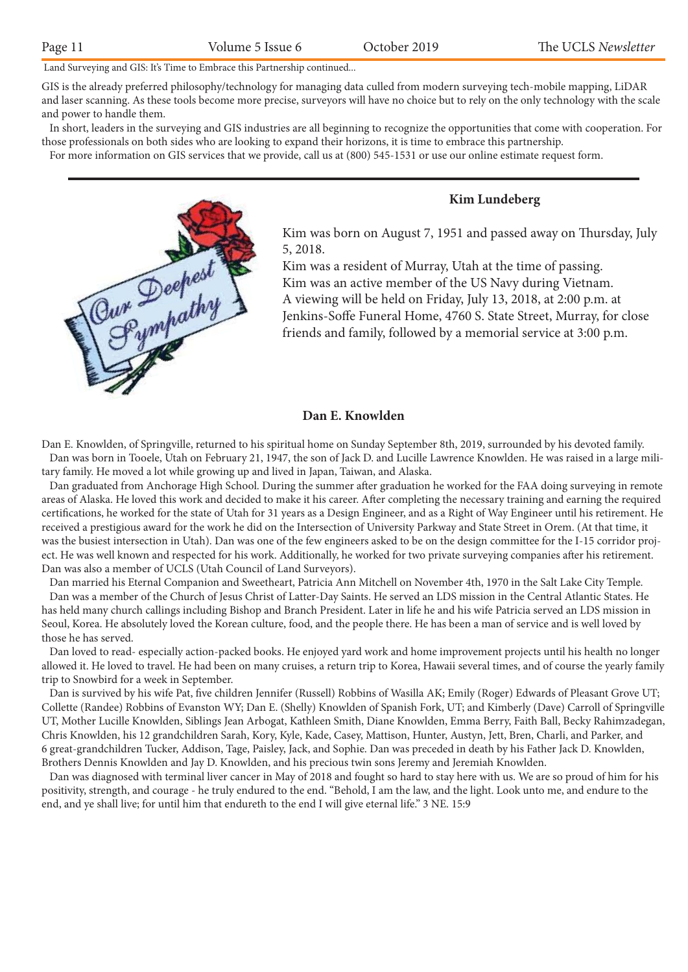Land Surveying and GIS: It's Time to Embrace this Partnership continued...

GIS is the already preferred philosophy/technology for managing data culled from modern surveying tech-mobile mapping, LiDAR and laser scanning. As these tools become more precise, surveyors will have no choice but to rely on the only technology with the scale and power to handle them.

 In short, leaders in the surveying and GIS industries are all beginning to recognize the opportunities that come with cooperation. For those professionals on both sides who are looking to expand their horizons, it is time to embrace this partnership.

For more information on GIS services that we provide, call us at (800) 545-1531 or use our online estimate request form.



#### **Kim Lundeberg**

Kim was born on August 7, 1951 and passed away on Thursday, July 5, 2018.

Kim was a resident of Murray, Utah at the time of passing. Kim was an active member of the US Navy during Vietnam. A viewing will be held on Friday, July 13, 2018, at 2:00 p.m. at Jenkins-Soffe Funeral Home, 4760 S. State Street, Murray, for close friends and family, followed by a memorial service at 3:00 p.m.

#### **Dan E. Knowlden**

Dan E. Knowlden, of Springville, returned to his spiritual home on Sunday September 8th, 2019, surrounded by his devoted family. Dan was born in Tooele, Utah on February 21, 1947, the son of Jack D. and Lucille Lawrence Knowlden. He was raised in a large military family. He moved a lot while growing up and lived in Japan, Taiwan, and Alaska.

Dan graduated from Anchorage High School. During the summer after graduation he worked for the FAA doing surveying in remote areas of Alaska. He loved this work and decided to make it his career. After completing the necessary training and earning the required certifications, he worked for the state of Utah for 31 years as a Design Engineer, and as a Right of Way Engineer until his retirement. He received a prestigious award for the work he did on the Intersection of University Parkway and State Street in Orem. (At that time, it was the busiest intersection in Utah). Dan was one of the few engineers asked to be on the design committee for the I-15 corridor project. He was well known and respected for his work. Additionally, he worked for two private surveying companies after his retirement. Dan was also a member of UCLS (Utah Council of Land Surveyors).

 Dan married his Eternal Companion and Sweetheart, Patricia Ann Mitchell on November 4th, 1970 in the Salt Lake City Temple. Dan was a member of the Church of Jesus Christ of Latter-Day Saints. He served an LDS mission in the Central Atlantic States. He has held many church callings including Bishop and Branch President. Later in life he and his wife Patricia served an LDS mission in Seoul, Korea. He absolutely loved the Korean culture, food, and the people there. He has been a man of service and is well loved by those he has served.

 Dan loved to read- especially action-packed books. He enjoyed yard work and home improvement projects until his health no longer allowed it. He loved to travel. He had been on many cruises, a return trip to Korea, Hawaii several times, and of course the yearly family trip to Snowbird for a week in September.

Dan is survived by his wife Pat, five children Jennifer (Russell) Robbins of Wasilla AK; Emily (Roger) Edwards of Pleasant Grove UT; Collette (Randee) Robbins of Evanston WY; Dan E. (Shelly) Knowlden of Spanish Fork, UT; and Kimberly (Dave) Carroll of Springville UT, Mother Lucille Knowlden, Siblings Jean Arbogat, Kathleen Smith, Diane Knowlden, Emma Berry, Faith Ball, Becky Rahimzadegan, Chris Knowlden, his 12 grandchildren Sarah, Kory, Kyle, Kade, Casey, Mattison, Hunter, Austyn, Jett, Bren, Charli, and Parker, and 6 great-grandchildren Tucker, Addison, Tage, Paisley, Jack, and Sophie. Dan was preceded in death by his Father Jack D. Knowlden, Brothers Dennis Knowlden and Jay D. Knowlden, and his precious twin sons Jeremy and Jeremiah Knowlden.

 Dan was diagnosed with terminal liver cancer in May of 2018 and fought so hard to stay here with us. We are so proud of him for his positivity, strength, and courage - he truly endured to the end. "Behold, I am the law, and the light. Look unto me, and endure to the end, and ye shall live; for until him that endureth to the end I will give eternal life." 3 NE. 15:9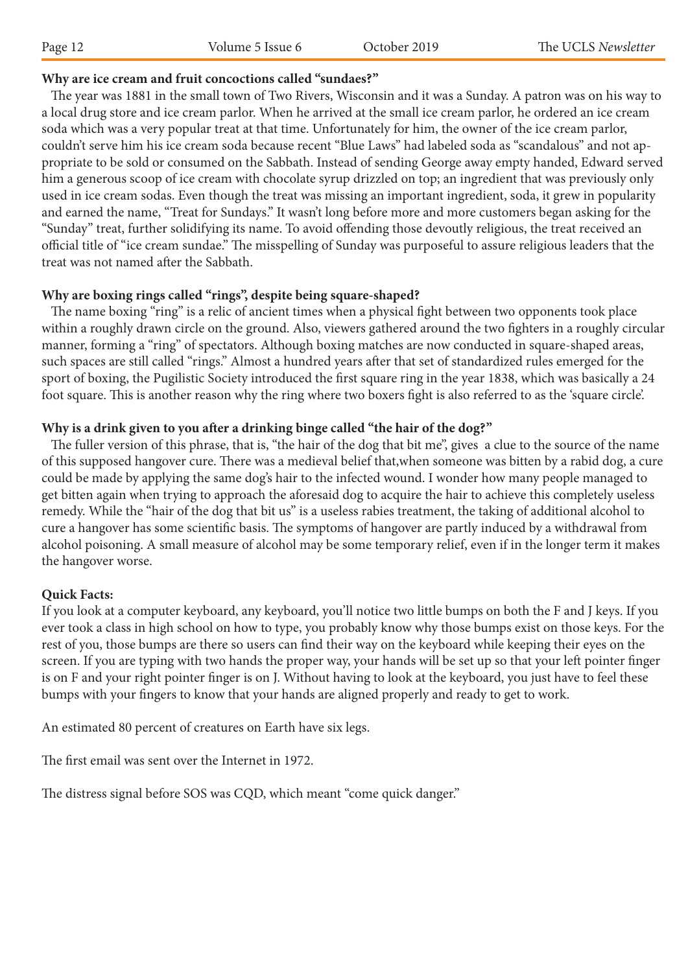#### **Why are ice cream and fruit concoctions called "sundaes?"**

The year was 1881 in the small town of Two Rivers, Wisconsin and it was a Sunday. A patron was on his way to a local drug store and ice cream parlor. When he arrived at the small ice cream parlor, he ordered an ice cream soda which was a very popular treat at that time. Unfortunately for him, the owner of the ice cream parlor, couldn't serve him his ice cream soda because recent "Blue Laws" had labeled soda as "scandalous" and not appropriate to be sold or consumed on the Sabbath. Instead of sending George away empty handed, Edward served him a generous scoop of ice cream with chocolate syrup drizzled on top; an ingredient that was previously only used in ice cream sodas. Even though the treat was missing an important ingredient, soda, it grew in popularity and earned the name, "Treat for Sundays." It wasn't long before more and more customers began asking for the "Sunday" treat, further solidifying its name. To avoid offending those devoutly religious, the treat received an official title of "ice cream sundae." The misspelling of Sunday was purposeful to assure religious leaders that the treat was not named after the Sabbath.

#### **Why are boxing rings called "rings", despite being square-shaped?**

The name boxing "ring" is a relic of ancient times when a physical fight between two opponents took place within a roughly drawn circle on the ground. Also, viewers gathered around the two fighters in a roughly circular manner, forming a "ring" of spectators. Although boxing matches are now conducted in square-shaped areas, such spaces are still called "rings." Almost a hundred years after that set of standardized rules emerged for the sport of boxing, the Pugilistic Society introduced the first square ring in the year 1838, which was basically a 24 foot square. This is another reason why the ring where two boxers fight is also referred to as the 'square circle'.

#### Why is a drink given to you after a drinking binge called "the hair of the dog?"

The fuller version of this phrase, that is, "the hair of the dog that bit me", gives a clue to the source of the name of this supposed hangover cure. There was a medieval belief that, when someone was bitten by a rabid dog, a cure could be made by applying the same dog's hair to the infected wound. I wonder how many people managed to get bitten again when trying to approach the aforesaid dog to acquire the hair to achieve this completely useless remedy. While the "hair of the dog that bit us" is a useless rabies treatment, the taking of additional alcohol to cure a hangover has some scientific basis. The symptoms of hangover are partly induced by a withdrawal from alcohol poisoning. A small measure of alcohol may be some temporary relief, even if in the longer term it makes the hangover worse.

#### **Quick Facts:**

If you look at a computer keyboard, any keyboard, you'll notice two little bumps on both the F and J keys. If you ever took a class in high school on how to type, you probably know why those bumps exist on those keys. For the rest of you, those bumps are there so users can find their way on the keyboard while keeping their eyes on the screen. If you are typing with two hands the proper way, your hands will be set up so that your left pointer finger is on F and your right pointer finger is on J. Without having to look at the keyboard, you just have to feel these bumps with your fingers to know that your hands are aligned properly and ready to get to work.

An estimated 80 percent of creatures on Earth have six legs.

The first email was sent over the Internet in 1972.

The distress signal before SOS was CQD, which meant "come quick danger."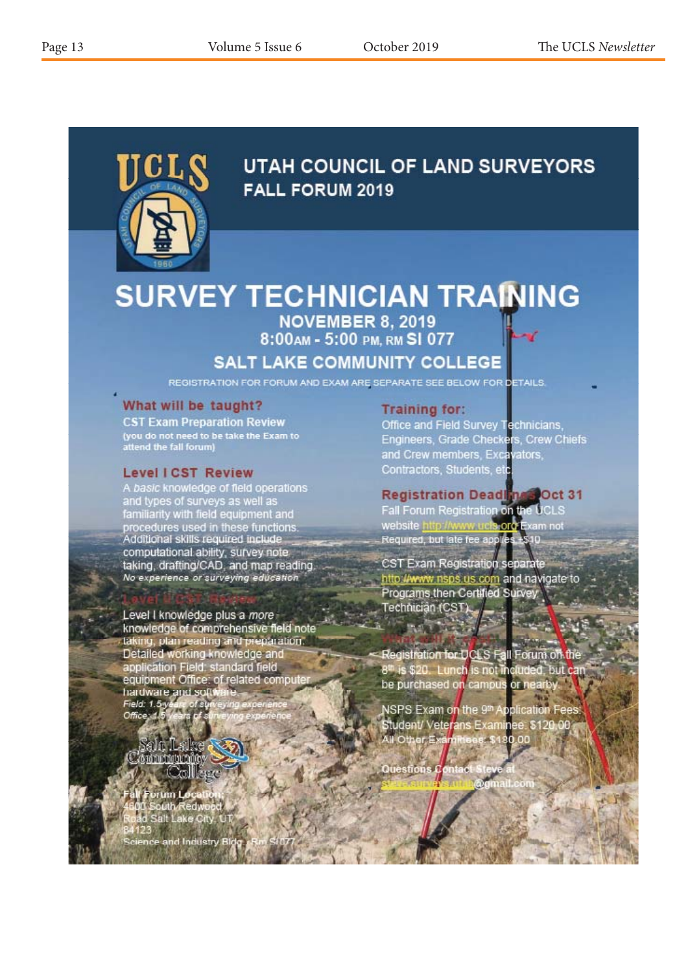

## **UTAH COUNCIL OF LAND SURVEYORS FALL FORUM 2019**

# **SURVEY TECHNICIAN TRAINING**

NOVEMBER 8, 2019<br>8:00am - 5:00 pm, RM SI 077

### **SALT LAKE COMMUNITY COLLEGE**

REGISTRATION FOR FORUM AND EXAM ARE SEPARATE SEE BELOW FOR DETAILS.

#### What will be taught?

**CST Exam Preparation Review** (you do not need to be take the Exam to<br>attend the fall forum)

#### **Level I CST Review**

A basic knowledge of field operations and types of surveys as well as familiarity with field equipment and procedures used in these functions. Additional skills required include computational ability, survey note taking, drafting/CAD, and map reading. No experience or surveying education

Level I knowledge plus a more LeverT knowledge plus a more<br>knowledge of comprehensive field note<br>taking, plan reading and preparation.<br>Detailed working knowledge and<br>application Field: standard field<br>equipment Office: of related computer<br>hardware and s Field: 1.5 y

alt Lake າວັງລັງ ນາງງາກປະທູລາກີເດັ Coll

 $m m L$ cuth Redy Salt Lake City, U and Industry E

#### **Training for:**

Office and Field Survey Technicians, Engineers, Grade Checkers, Crew Chiefs and Crew members, Excavators, Contractors, Students, etc

### **Registration Deadling Oct 31**

Fall Forum Registration on the UCLS<br>website http://www.ucls.ord:Exam.not Required, but late fee applies +\$10

CST Exam Registration separate http://www.nsps.us.com and navigate to Programs then Certified Survey Technicián (CST)

Registration for UCLS Fall Forum on the 8<sup>th</sup> is \$20. Lunch is not included, but can be purchased on campus or nearby.

NSPS Exam on the 9th Application Fees Student/ Veterans Examinee: \$120,00 Other  $F_X$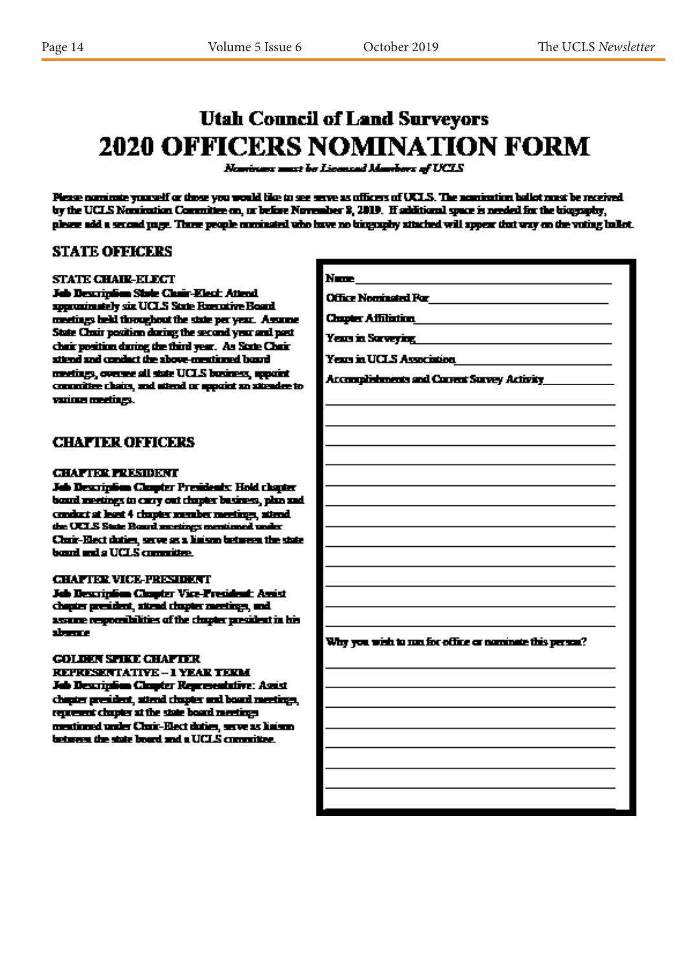## **Utah Council of Land Surveyors 2020 OFFICERS NOMINATION FORM**

Naminans anst be Licensed Mambers of UCLS

Please nominate yourself or those you would like to see yeare as officers of UCLS. The nomination ballot must be received. by the UCLS Nomination Committee on, or before November 3, 2019. If additional space is needed for the biography, please add a second page. These people consinated who have no biography attached will appear that way on the voting ballot.

#### **STATE OFFICERS**

#### **STATE CHAIR-ELECT**

Job Description State Class Elect Attend approximately six UCLS State Romative Board meetings held throughout the state per year. Assume State Chair position during the second year and past chair position during the third year. As State Chair stiend and conduct the above-mentioned board meetings, oversee all state UCLS business, appoint committee chairs, and attend or appoint an attendee to various meetings.

#### **CHAPTER OFFICERS**

#### **CHAPTER PRESIDENT**

Job Description Chapter Presidents: Hold chapter board meetings to carry out chapter business, plan and conduct at least 4 chapter member meetings, attend. the UCLS State Board meetings mentioned under Claric-Rect duties, serve as a linism between the state bond and a UCLS committee.

#### **CHAPTER VICE-PRESIDENT**

**Job Description Chapter Vice-President: Acrist** chapter president, attend chapter meetings, and assume responsibilities of the chapter president in his absence

#### **GOLDEN SPIKE CHAPTER**

**REPRESENTATIVE - 1 YEAR TERM** Job Description Chapter Representative: Assist chapter president, attend chapter and board meetings, represent chapter at the state board meetings mentioned under Chair-Rect daties, serve as listens between the state board and a UCLS committee.

| Office Nominated Party and the control of the control of the control of the control of the control of the control of the control of the control of the control of the control of the control of the control of the control of<br><b>Chapter Affiliation Chapter Affiliation</b><br><b>Years in Surveying the contract of the Survey Age of the Contract of the Contract of the Contract of the Contract of the Contract of the Contract of the Contract of the Contract of the Contract of the Contract of the Cont</b><br>Yean in UCLS Association<br>Accomplishments and Corrent Survey Activity<br>Why you wish to run for office or nominate this person? |  |
|---------------------------------------------------------------------------------------------------------------------------------------------------------------------------------------------------------------------------------------------------------------------------------------------------------------------------------------------------------------------------------------------------------------------------------------------------------------------------------------------------------------------------------------------------------------------------------------------------------------------------------------------------------------|--|
|                                                                                                                                                                                                                                                                                                                                                                                                                                                                                                                                                                                                                                                               |  |
|                                                                                                                                                                                                                                                                                                                                                                                                                                                                                                                                                                                                                                                               |  |
|                                                                                                                                                                                                                                                                                                                                                                                                                                                                                                                                                                                                                                                               |  |
|                                                                                                                                                                                                                                                                                                                                                                                                                                                                                                                                                                                                                                                               |  |
|                                                                                                                                                                                                                                                                                                                                                                                                                                                                                                                                                                                                                                                               |  |
|                                                                                                                                                                                                                                                                                                                                                                                                                                                                                                                                                                                                                                                               |  |
|                                                                                                                                                                                                                                                                                                                                                                                                                                                                                                                                                                                                                                                               |  |
|                                                                                                                                                                                                                                                                                                                                                                                                                                                                                                                                                                                                                                                               |  |
|                                                                                                                                                                                                                                                                                                                                                                                                                                                                                                                                                                                                                                                               |  |
|                                                                                                                                                                                                                                                                                                                                                                                                                                                                                                                                                                                                                                                               |  |
|                                                                                                                                                                                                                                                                                                                                                                                                                                                                                                                                                                                                                                                               |  |
|                                                                                                                                                                                                                                                                                                                                                                                                                                                                                                                                                                                                                                                               |  |
|                                                                                                                                                                                                                                                                                                                                                                                                                                                                                                                                                                                                                                                               |  |
|                                                                                                                                                                                                                                                                                                                                                                                                                                                                                                                                                                                                                                                               |  |
|                                                                                                                                                                                                                                                                                                                                                                                                                                                                                                                                                                                                                                                               |  |
|                                                                                                                                                                                                                                                                                                                                                                                                                                                                                                                                                                                                                                                               |  |
|                                                                                                                                                                                                                                                                                                                                                                                                                                                                                                                                                                                                                                                               |  |
|                                                                                                                                                                                                                                                                                                                                                                                                                                                                                                                                                                                                                                                               |  |
|                                                                                                                                                                                                                                                                                                                                                                                                                                                                                                                                                                                                                                                               |  |
|                                                                                                                                                                                                                                                                                                                                                                                                                                                                                                                                                                                                                                                               |  |
|                                                                                                                                                                                                                                                                                                                                                                                                                                                                                                                                                                                                                                                               |  |
|                                                                                                                                                                                                                                                                                                                                                                                                                                                                                                                                                                                                                                                               |  |
|                                                                                                                                                                                                                                                                                                                                                                                                                                                                                                                                                                                                                                                               |  |
|                                                                                                                                                                                                                                                                                                                                                                                                                                                                                                                                                                                                                                                               |  |
|                                                                                                                                                                                                                                                                                                                                                                                                                                                                                                                                                                                                                                                               |  |
|                                                                                                                                                                                                                                                                                                                                                                                                                                                                                                                                                                                                                                                               |  |
|                                                                                                                                                                                                                                                                                                                                                                                                                                                                                                                                                                                                                                                               |  |
|                                                                                                                                                                                                                                                                                                                                                                                                                                                                                                                                                                                                                                                               |  |
|                                                                                                                                                                                                                                                                                                                                                                                                                                                                                                                                                                                                                                                               |  |